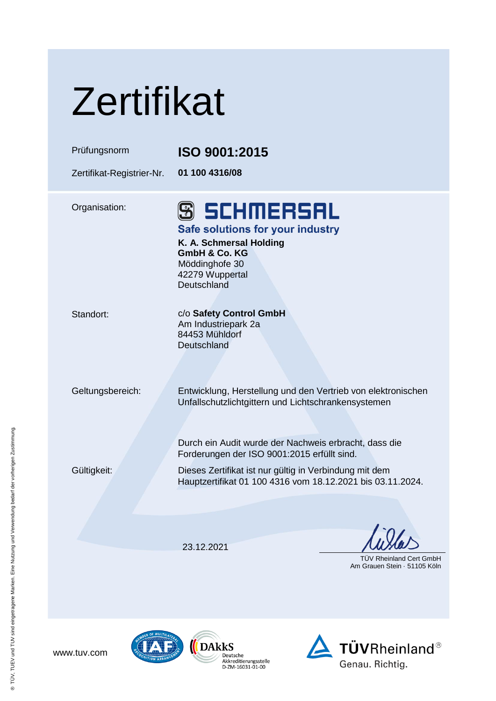| Zertifikat                |                                                                                                                                                                                                                             |
|---------------------------|-----------------------------------------------------------------------------------------------------------------------------------------------------------------------------------------------------------------------------|
| Prüfungsnorm              | ISO 9001:2015                                                                                                                                                                                                               |
| Zertifikat-Registrier-Nr. | 01 100 4316/08                                                                                                                                                                                                              |
| Organisation:             | <b>S SCHMERSAL</b><br>Safe solutions for your industry<br>K. A. Schmersal Holding<br>GmbH & Co. KG<br>Möddinghofe 30<br>42279 Wuppertal<br>Deutschland                                                                      |
| Standort:                 | c/o Safety Control GmbH<br>Am Industriepark 2a<br>84453 Mühldorf<br>Deutschland                                                                                                                                             |
| Geltungsbereich:          | Entwicklung, Herstellung und den Vertrieb von elektronischen<br>Unfallschutzlichtgittern und Lichtschrankensystemen<br>Durch ein Audit wurde der Nachweis erbracht, dass die<br>Forderungen der ISO 9001:2015 erfüllt sind. |
| Gültigkeit:               | Dieses Zertifikat ist nur gültig in Verbindung mit dem<br>Hauptzertifikat 01 100 4316 vom 18.12.2021 bis 03.11.2024.                                                                                                        |
|                           | 23.12.2021                                                                                                                                                                                                                  |
|                           | <b>TUV Rheinland Cert GmbH</b><br>Am Grauen Stein · 51105 Köln                                                                                                                                                              |